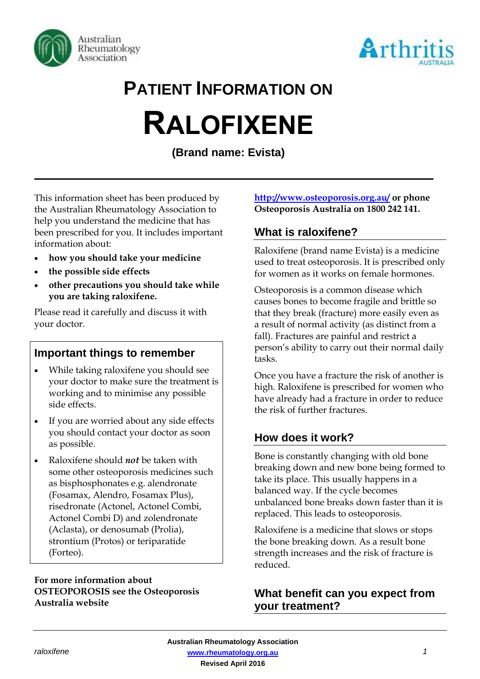



## **PATIENT INFORMATION ON**

# **RALOFIXENE**

**(Brand name: Evista)**

This information sheet has been produced by the Australian Rheumatology Association to help you understand the medicine that has been prescribed for you. It includes important information about:

- **how you should take your medicine**
- **the possible side effects**
- **other precautions you should take while you are taking raloxifene.**

Please read it carefully and discuss it with your doctor.

#### **Important things to remember**

- While taking raloxifene you should see your doctor to make sure the treatment is working and to minimise any possible side effects.
- If you are worried about any side effects you should contact your doctor as soon as possible.
- Raloxifene should *not* be taken with some other osteoporosis medicines such as bisphosphonates e.g. alendronate (Fosamax, Alendro, Fosamax Plus), risedronate (Actonel, Actonel Combi, Actonel Combi D) and zolendronate (Aclasta), or denosumab (Prolia), strontium (Protos) or teriparatide (Forteo).

#### **For more information about OSTEOPOROSIS see the Osteoporosis Australia website**

#### **<http://www.osteoporosis.org.au/> or phone Osteoporosis Australia on 1800 242 141.**

### **What is raloxifene?**

Raloxifene (brand name Evista) is a medicine used to treat osteoporosis. It is prescribed only for women as it works on female hormones.

Osteoporosis is a common disease which causes bones to become fragile and brittle so that they break (fracture) more easily even as a result of normal activity (as distinct from a fall). Fractures are painful and restrict a person's ability to carry out their normal daily tasks.

Once you have a fracture the risk of another is high. Raloxifene is prescribed for women who have already had a fracture in order to reduce the risk of further fractures.

### **How does it work?**

Bone is constantly changing with old bone breaking down and new bone being formed to take its place. This usually happens in a balanced way. If the cycle becomes unbalanced bone breaks down faster than it is replaced. This leads to osteoporosis.

Raloxifene is a medicine that slows or stops the bone breaking down. As a result bone strength increases and the risk of fracture is reduced.

#### **What benefit can you expect from your treatment?**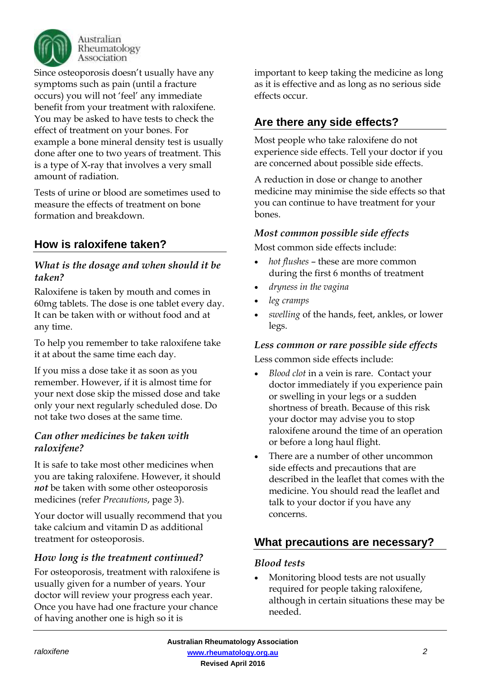

Australian Rheumatology Association

Since osteoporosis doesn't usually have any symptoms such as pain (until a fracture occurs) you will not 'feel' any immediate benefit from your treatment with raloxifene. You may be asked to have tests to check the effect of treatment on your bones. For example a bone mineral density test is usually done after one to two years of treatment. This is a type of X-ray that involves a very small amount of radiation.

Tests of urine or blood are sometimes used to measure the effects of treatment on bone formation and breakdown.

### **How is raloxifene taken?**

#### *What is the dosage and when should it be taken?*

Raloxifene is taken by mouth and comes in 60mg tablets. The dose is one tablet every day. It can be taken with or without food and at any time.

To help you remember to take raloxifene take it at about the same time each day.

If you miss a dose take it as soon as you remember. However, if it is almost time for your next dose skip the missed dose and take only your next regularly scheduled dose. Do not take two doses at the same time.

#### *Can other medicines be taken with raloxifene?*

It is safe to take most other medicines when you are taking raloxifene. However, it should *not* be taken with some other osteoporosis medicines (refer *Precautions*, page 3).

Your doctor will usually recommend that you take calcium and vitamin D as additional treatment for osteoporosis.

#### *How long is the treatment continued?*

For osteoporosis, treatment with raloxifene is usually given for a number of years. Your doctor will review your progress each year. Once you have had one fracture your chance of having another one is high so it is

important to keep taking the medicine as long as it is effective and as long as no serious side effects occur.

#### **Are there any side effects?**

Most people who take raloxifene do not experience side effects. Tell your doctor if you are concerned about possible side effects.

A reduction in dose or change to another medicine may minimise the side effects so that you can continue to have treatment for your bones.

#### *Most common possible side effects*

Most common side effects include:

- *hot flushes* these are more common during the first 6 months of treatment
- *dryness in the vagina*
- *leg cramps*
- *swelling* of the hands, feet, ankles, or lower legs.

#### *Less common or rare possible side effects*

Less common side effects include:

- *Blood clot* in a vein is rare. Contact your doctor immediately if you experience pain or swelling in your legs or a sudden shortness of breath. Because of this risk your doctor may advise you to stop raloxifene around the time of an operation or before a long haul flight.
- There are a number of other uncommon side effects and precautions that are described in the leaflet that comes with the medicine. You should read the leaflet and talk to your doctor if you have any concerns.

#### **What precautions are necessary?**

#### *Blood tests*

 Monitoring blood tests are not usually required for people taking raloxifene, although in certain situations these may be needed.